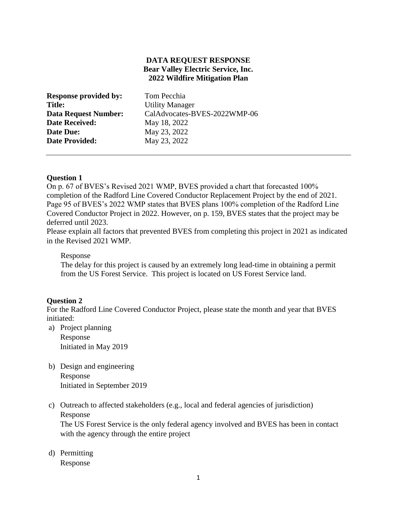# **DATA REQUEST RESPONSE Bear Valley Electric Service, Inc. 2022 Wildfire Mitigation Plan**

| <b>Response provided by:</b> | Tom Pecchia                  |
|------------------------------|------------------------------|
| Title:                       | <b>Utility Manager</b>       |
| <b>Data Request Number:</b>  | CalAdvocates-BVES-2022WMP-06 |
| <b>Date Received:</b>        | May 18, 2022                 |
| Date Due:                    | May 23, 2022                 |
| <b>Date Provided:</b>        | May 23, 2022                 |
|                              |                              |

# **Question 1**

On p. 67 of BVES's Revised 2021 WMP, BVES provided a chart that forecasted 100% completion of the Radford Line Covered Conductor Replacement Project by the end of 2021. Page 95 of BVES's 2022 WMP states that BVES plans 100% completion of the Radford Line Covered Conductor Project in 2022. However, on p. 159, BVES states that the project may be deferred until 2023.

Please explain all factors that prevented BVES from completing this project in 2021 as indicated in the Revised 2021 WMP.

Response

The delay for this project is caused by an extremely long lead-time in obtaining a permit from the US Forest Service. This project is located on US Forest Service land.

# **Question 2**

For the Radford Line Covered Conductor Project, please state the month and year that BVES initiated:

a) Project planning

Response Initiated in May 2019

- b) Design and engineering Response Initiated in September 2019
- c) Outreach to affected stakeholders (e.g., local and federal agencies of jurisdiction) Response

The US Forest Service is the only federal agency involved and BVES has been in contact with the agency through the entire project

d) Permitting

Response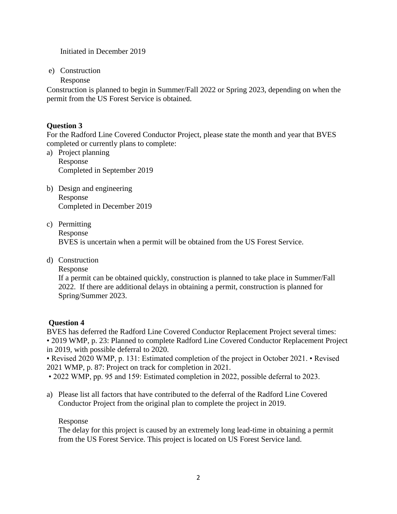Initiated in December 2019

e) Construction

Response

Construction is planned to begin in Summer/Fall 2022 or Spring 2023, depending on when the permit from the US Forest Service is obtained.

# **Question 3**

For the Radford Line Covered Conductor Project, please state the month and year that BVES completed or currently plans to complete:

- a) Project planning Response Completed in September 2019
- b) Design and engineering Response Completed in December 2019
- c) Permitting Response BVES is uncertain when a permit will be obtained from the US Forest Service.
- d) Construction

Response

If a permit can be obtained quickly, construction is planned to take place in Summer/Fall 2022. If there are additional delays in obtaining a permit, construction is planned for Spring/Summer 2023.

# **Question 4**

BVES has deferred the Radford Line Covered Conductor Replacement Project several times: • 2019 WMP, p. 23: Planned to complete Radford Line Covered Conductor Replacement Project in 2019, with possible deferral to 2020.

• Revised 2020 WMP, p. 131: Estimated completion of the project in October 2021. • Revised 2021 WMP, p. 87: Project on track for completion in 2021.

- 2022 WMP, pp. 95 and 159: Estimated completion in 2022, possible deferral to 2023.
- a) Please list all factors that have contributed to the deferral of the Radford Line Covered Conductor Project from the original plan to complete the project in 2019.

# Response

The delay for this project is caused by an extremely long lead-time in obtaining a permit from the US Forest Service. This project is located on US Forest Service land.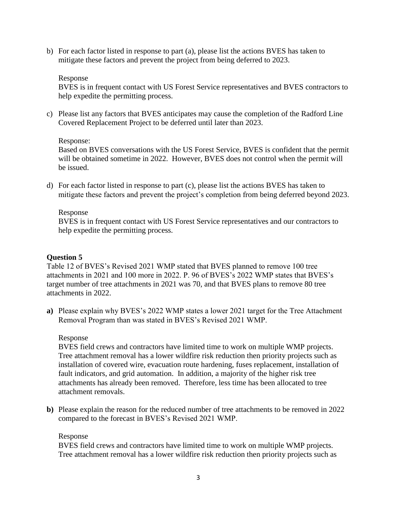b) For each factor listed in response to part (a), please list the actions BVES has taken to mitigate these factors and prevent the project from being deferred to 2023.

### Response

BVES is in frequent contact with US Forest Service representatives and BVES contractors to help expedite the permitting process.

c) Please list any factors that BVES anticipates may cause the completion of the Radford Line Covered Replacement Project to be deferred until later than 2023.

#### Response:

Based on BVES conversations with the US Forest Service, BVES is confident that the permit will be obtained sometime in 2022. However, BVES does not control when the permit will be issued.

d) For each factor listed in response to part (c), please list the actions BVES has taken to mitigate these factors and prevent the project's completion from being deferred beyond 2023.

# Response

BVES is in frequent contact with US Forest Service representatives and our contractors to help expedite the permitting process.

# **Question 5**

Table 12 of BVES's Revised 2021 WMP stated that BVES planned to remove 100 tree attachments in 2021 and 100 more in 2022. P. 96 of BVES's 2022 WMP states that BVES's target number of tree attachments in 2021 was 70, and that BVES plans to remove 80 tree attachments in 2022.

**a)** Please explain why BVES's 2022 WMP states a lower 2021 target for the Tree Attachment Removal Program than was stated in BVES's Revised 2021 WMP.

#### Response

BVES field crews and contractors have limited time to work on multiple WMP projects. Tree attachment removal has a lower wildfire risk reduction then priority projects such as installation of covered wire, evacuation route hardening, fuses replacement, installation of fault indicators, and grid automation. In addition, a majority of the higher risk tree attachments has already been removed. Therefore, less time has been allocated to tree attachment removals.

**b)** Please explain the reason for the reduced number of tree attachments to be removed in 2022 compared to the forecast in BVES's Revised 2021 WMP.

#### Response

BVES field crews and contractors have limited time to work on multiple WMP projects. Tree attachment removal has a lower wildfire risk reduction then priority projects such as